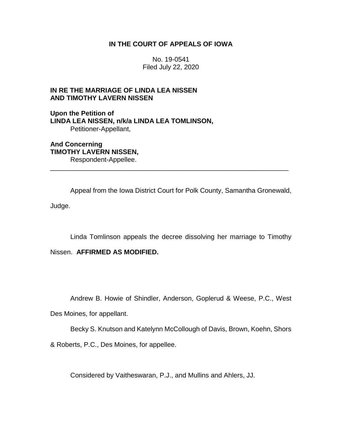## **IN THE COURT OF APPEALS OF IOWA**

No. 19-0541 Filed July 22, 2020

## **IN RE THE MARRIAGE OF LINDA LEA NISSEN AND TIMOTHY LAVERN NISSEN**

**Upon the Petition of LINDA LEA NISSEN, n/k/a LINDA LEA TOMLINSON,** Petitioner-Appellant,

**And Concerning TIMOTHY LAVERN NISSEN,** Respondent-Appellee.

Appeal from the Iowa District Court for Polk County, Samantha Gronewald, Judge.

\_\_\_\_\_\_\_\_\_\_\_\_\_\_\_\_\_\_\_\_\_\_\_\_\_\_\_\_\_\_\_\_\_\_\_\_\_\_\_\_\_\_\_\_\_\_\_\_\_\_\_\_\_\_\_\_\_\_\_\_\_\_\_\_

Linda Tomlinson appeals the decree dissolving her marriage to Timothy

Nissen. **AFFIRMED AS MODIFIED.**

Andrew B. Howie of Shindler, Anderson, Goplerud & Weese, P.C., West

Des Moines, for appellant.

Becky S. Knutson and Katelynn McCollough of Davis, Brown, Koehn, Shors

& Roberts, P.C., Des Moines, for appellee.

Considered by Vaitheswaran, P.J., and Mullins and Ahlers, JJ.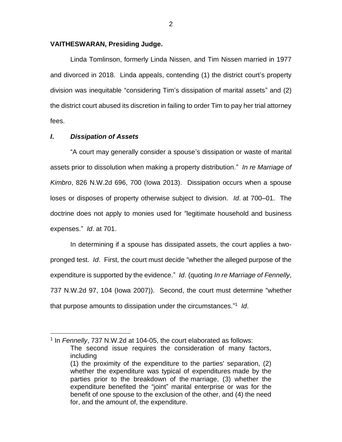#### **VAITHESWARAN, Presiding Judge.**

Linda Tomlinson, formerly Linda Nissen, and Tim Nissen married in 1977 and divorced in 2018. Linda appeals, contending (1) the district court's property division was inequitable "considering Tim's dissipation of marital assets" and (2) the district court abused its discretion in failing to order Tim to pay her trial attorney fees.

## *I***.** *Dissipation of Assets*

 $\overline{a}$ 

"A court may generally consider a spouse's dissipation or waste of marital assets prior to dissolution when making a property distribution." *In re Marriage of Kimbro*, 826 N.W.2d 696, 700 (Iowa 2013). Dissipation occurs when a spouse loses or disposes of property otherwise subject to division. *Id*. at 700–01. The doctrine does not apply to monies used for "legitimate household and business expenses." *Id*. at 701.

In determining if a spouse has dissipated assets, the court applies a twopronged test. *Id*. First, the court must decide "whether the alleged purpose of the expenditure is supported by the evidence." *Id*. (quoting *In re Marriage of Fennelly*, 737 N.W.2d 97, 104 (Iowa 2007)). Second, the court must determine "whether that purpose amounts to dissipation under the circumstances." 1 *Id*.

<sup>&</sup>lt;sup>1</sup> In *Fennelly*, 737 N.W.2d at 104-05, the court elaborated as follows:

The second issue requires the consideration of many factors, including

<sup>(1)</sup> the proximity of the expenditure to the parties' separation, (2) whether the expenditure was typical of expenditures made by the parties prior to the breakdown of the marriage, (3) whether the expenditure benefited the "joint" marital enterprise or was for the benefit of one spouse to the exclusion of the other, and (4) the need for, and the amount of, the expenditure.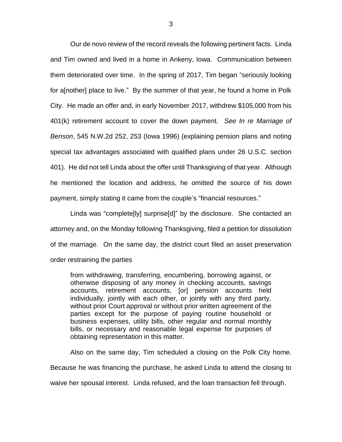Our de novo review of the record reveals the following pertinent facts. Linda and Tim owned and lived in a home in Ankeny, Iowa. Communication between them deteriorated over time. In the spring of 2017, Tim began "seriously looking for a[nother] place to live." By the summer of that year, he found a home in Polk City. He made an offer and, in early November 2017, withdrew \$105,000 from his 401(k) retirement account to cover the down payment. *See In re Marriage of Benson*, 545 N.W.2d 252, 253 (Iowa 1996) (explaining pension plans and noting special tax advantages associated with qualified plans under 26 U.S.C. section 401). He did not tell Linda about the offer until Thanksgiving of that year. Although he mentioned the location and address, he omitted the source of his down payment, simply stating it came from the couple's "financial resources."

Linda was "complete[ly] surprise[d]" by the disclosure. She contacted an attorney and, on the Monday following Thanksgiving, filed a petition for dissolution of the marriage. On the same day, the district court filed an asset preservation order restraining the parties

from withdrawing, transferring, encumbering, borrowing against, or otherwise disposing of any money in checking accounts, savings accounts, retirement accounts, [or] pension accounts held individually, jointly with each other, or jointly with any third party, without prior Court approval or without prior written agreement of the parties except for the purpose of paying routine household or business expenses, utility bills, other regular and normal monthly bills, or necessary and reasonable legal expense for purposes of obtaining representation in this matter.

Also on the same day, Tim scheduled a closing on the Polk City home. Because he was financing the purchase, he asked Linda to attend the closing to

waive her spousal interest. Linda refused, and the loan transaction fell through.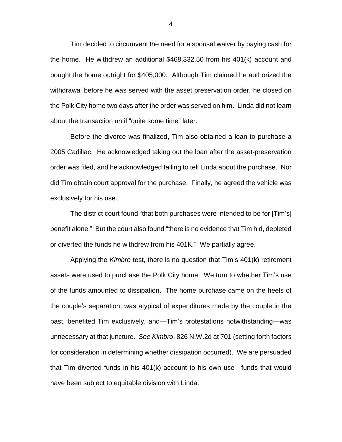Tim decided to circumvent the need for a spousal waiver by paying cash for the home. He withdrew an additional \$468,332.50 from his 401(k) account and bought the home outright for \$405,000. Although Tim claimed he authorized the withdrawal before he was served with the asset preservation order, he closed on the Polk City home two days after the order was served on him. Linda did not learn about the transaction until "quite some time" later.

Before the divorce was finalized, Tim also obtained a loan to purchase a 2005 Cadillac. He acknowledged taking out the loan after the asset-preservation order was filed, and he acknowledged failing to tell Linda about the purchase. Nor did Tim obtain court approval for the purchase. Finally, he agreed the vehicle was exclusively for his use.

The district court found "that both purchases were intended to be for [Tim's] benefit alone." But the court also found "there is no evidence that Tim hid, depleted or diverted the funds he withdrew from his 401K." We partially agree.

Applying the *Kimbro* test, there is no question that Tim's 401(k) retirement assets were used to purchase the Polk City home. We turn to whether Tim's use of the funds amounted to dissipation. The home purchase came on the heels of the couple's separation, was atypical of expenditures made by the couple in the past, benefited Tim exclusively, and—Tim's protestations notwithstanding—was unnecessary at that juncture. *See Kimbro*, 826 N.W.2d at 701 (setting forth factors for consideration in determining whether dissipation occurred). We are persuaded that Tim diverted funds in his 401(k) account to his own use—funds that would have been subject to equitable division with Linda.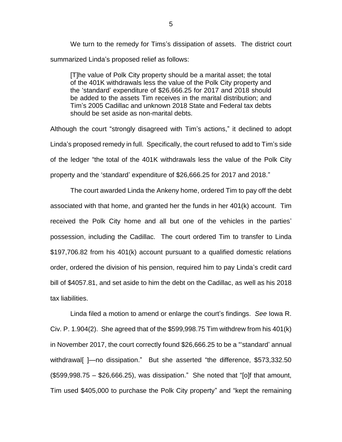We turn to the remedy for Tims's dissipation of assets. The district court summarized Linda's proposed relief as follows:

[T]he value of Polk City property should be a marital asset; the total of the 401K withdrawals less the value of the Polk City property and the 'standard' expenditure of \$26,666.25 for 2017 and 2018 should be added to the assets Tim receives in the marital distribution; and Tim's 2005 Cadillac and unknown 2018 State and Federal tax debts should be set aside as non-marital debts.

Although the court "strongly disagreed with Tim's actions," it declined to adopt Linda's proposed remedy in full. Specifically, the court refused to add to Tim's side of the ledger "the total of the 401K withdrawals less the value of the Polk City property and the 'standard' expenditure of \$26,666.25 for 2017 and 2018."

The court awarded Linda the Ankeny home, ordered Tim to pay off the debt associated with that home, and granted her the funds in her 401(k) account. Tim received the Polk City home and all but one of the vehicles in the parties' possession, including the Cadillac. The court ordered Tim to transfer to Linda \$197,706.82 from his 401(k) account pursuant to a qualified domestic relations order, ordered the division of his pension, required him to pay Linda's credit card bill of \$4057.81, and set aside to him the debt on the Cadillac, as well as his 2018 tax liabilities.

Linda filed a motion to amend or enlarge the court's findings. *See* Iowa R. Civ. P. 1.904(2). She agreed that of the \$599,998.75 Tim withdrew from his 401(k) in November 2017, the court correctly found \$26,666.25 to be a "'standard' annual withdrawal[ ]—no dissipation." But she asserted "the difference, \$573,332.50  $($599,998.75 - $26,666.25)$ , was dissipation." She noted that "[o]f that amount, Tim used \$405,000 to purchase the Polk City property" and "kept the remaining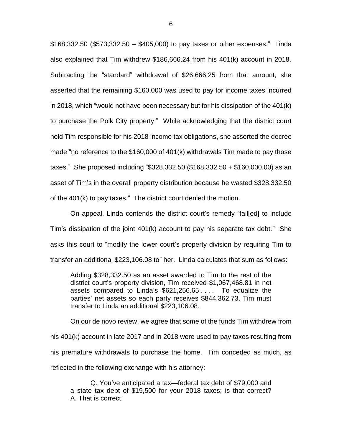\$168,332.50 (\$573,332.50 – \$405,000) to pay taxes or other expenses." Linda also explained that Tim withdrew \$186,666.24 from his 401(k) account in 2018. Subtracting the "standard" withdrawal of \$26,666.25 from that amount, she asserted that the remaining \$160,000 was used to pay for income taxes incurred in 2018, which "would not have been necessary but for his dissipation of the 401(k) to purchase the Polk City property." While acknowledging that the district court held Tim responsible for his 2018 income tax obligations, she asserted the decree made "no reference to the \$160,000 of 401(k) withdrawals Tim made to pay those taxes." She proposed including "\$328,332.50 (\$168,332.50 + \$160,000.00) as an asset of Tim's in the overall property distribution because he wasted \$328,332.50 of the 401(k) to pay taxes." The district court denied the motion.

On appeal, Linda contends the district court's remedy "fail[ed] to include Tim's dissipation of the joint 401(k) account to pay his separate tax debt." She asks this court to "modify the lower court's property division by requiring Tim to transfer an additional \$223,106.08 to" her. Linda calculates that sum as follows:

Adding \$328,332.50 as an asset awarded to Tim to the rest of the district court's property division, Tim received \$1,067,468.81 in net assets compared to Linda's \$621,256.65 . . . . To equalize the parties' net assets so each party receives \$844,362.73, Tim must transfer to Linda an additional \$223,106.08.

On our de novo review, we agree that some of the funds Tim withdrew from his 401(k) account in late 2017 and in 2018 were used to pay taxes resulting from his premature withdrawals to purchase the home. Tim conceded as much, as reflected in the following exchange with his attorney:

Q. You've anticipated a tax—federal tax debt of \$79,000 and a state tax debt of \$19,500 for your 2018 taxes; is that correct? A. That is correct.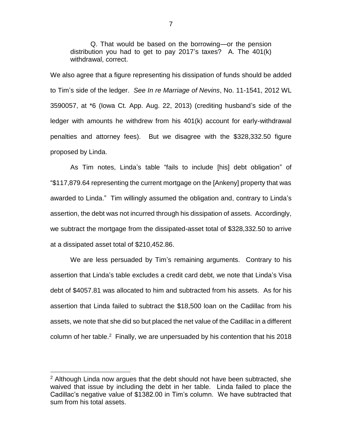Q. That would be based on the borrowing—or the pension distribution you had to get to pay 2017's taxes? A. The 401(k) withdrawal, correct.

We also agree that a figure representing his dissipation of funds should be added to Tim's side of the ledger. *See In re Marriage of Nevins*, No. 11-1541, 2012 WL 3590057, at \*6 (Iowa Ct. App. Aug. 22, 2013) (crediting husband's side of the ledger with amounts he withdrew from his 401(k) account for early-withdrawal penalties and attorney fees). But we disagree with the \$328,332.50 figure proposed by Linda.

As Tim notes, Linda's table "fails to include [his] debt obligation" of "\$117,879.64 representing the current mortgage on the [Ankeny] property that was awarded to Linda." Tim willingly assumed the obligation and, contrary to Linda's assertion, the debt was not incurred through his dissipation of assets. Accordingly, we subtract the mortgage from the dissipated-asset total of \$328,332.50 to arrive at a dissipated asset total of \$210,452.86.

We are less persuaded by Tim's remaining arguments. Contrary to his assertion that Linda's table excludes a credit card debt, we note that Linda's Visa debt of \$4057.81 was allocated to him and subtracted from his assets. As for his assertion that Linda failed to subtract the \$18,500 loan on the Cadillac from his assets, we note that she did so but placed the net value of the Cadillac in a different column of her table.<sup>2</sup> Finally, we are unpersuaded by his contention that his 2018

 $\overline{a}$ 

7

 $2$  Although Linda now argues that the debt should not have been subtracted, she waived that issue by including the debt in her table. Linda failed to place the Cadillac's negative value of \$1382.00 in Tim's column. We have subtracted that sum from his total assets.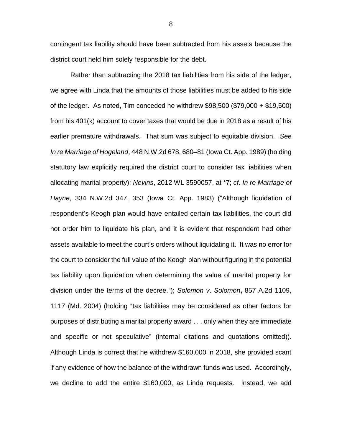contingent tax liability should have been subtracted from his assets because the district court held him solely responsible for the debt.

Rather than subtracting the 2018 tax liabilities from his side of the ledger, we agree with Linda that the amounts of those liabilities must be added to his side of the ledger. As noted, Tim conceded he withdrew \$98,500 (\$79,000 + \$19,500) from his 401(k) account to cover taxes that would be due in 2018 as a result of his earlier premature withdrawals. That sum was subject to equitable division. *See In re Marriage of Hogeland*, 448 N.W.2d 678, 680–81 (Iowa Ct. App. 1989) (holding statutory law explicitly required the district court to consider tax liabilities when allocating marital property); *Nevins*, 2012 WL 3590057, at \*7; *cf*. *In re Marriage of Hayne*, 334 N.W.2d 347, 353 (Iowa Ct. App. 1983) ("Although liquidation of respondent's Keogh plan would have entailed certain tax liabilities, the court did not order him to liquidate his plan, and it is evident that respondent had other assets available to meet the court's orders without liquidating it. It was no error for the court to consider the full value of the Keogh plan without figuring in the potential tax liability upon liquidation when determining the value of marital property for division under the terms of the decree."); *Solomon v*. *Solomon***,** 857 A.2d 1109, 1117 (Md. 2004) (holding "tax liabilities may be considered as other factors for purposes of distributing a marital property award . . . only when they are immediate and specific or not speculative" (internal citations and quotations omitted)). Although Linda is correct that he withdrew \$160,000 in 2018, she provided scant if any evidence of how the balance of the withdrawn funds was used. Accordingly, we decline to add the entire \$160,000, as Linda requests. Instead, we add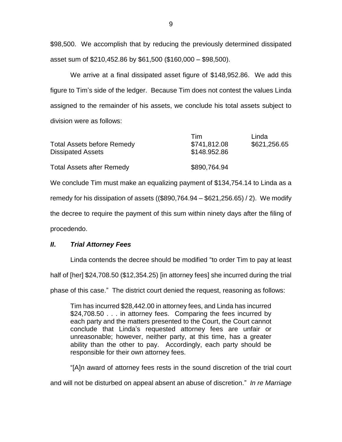\$98,500. We accomplish that by reducing the previously determined dissipated asset sum of \$210,452.86 by \$61,500 (\$160,000 – \$98,500).

We arrive at a final dissipated asset figure of \$148,952.86. We add this figure to Tim's side of the ledger. Because Tim does not contest the values Linda assigned to the remainder of his assets, we conclude his total assets subject to division were as follows:

| <b>Total Assets before Remedy</b><br><b>Dissipated Assets</b> | Tim<br>\$741,812.08<br>\$148.952.86 | Linda<br>\$621,256.65 |
|---------------------------------------------------------------|-------------------------------------|-----------------------|
| <b>Total Assets after Remedy</b>                              | \$890,764.94                        |                       |

We conclude Tim must make an equalizing payment of \$134,754.14 to Linda as a

remedy for his dissipation of assets ((\$890,764.94 – \$621,256.65) / 2). We modify

the decree to require the payment of this sum within ninety days after the filing of

procedendo.

# *II***.** *Trial Attorney Fees*

Linda contends the decree should be modified "to order Tim to pay at least half of [her] \$24,708.50 (\$12,354.25) [in attorney fees] she incurred during the trial

phase of this case." The district court denied the request, reasoning as follows:

Tim has incurred \$28,442.00 in attorney fees, and Linda has incurred \$24,708.50 . . . in attorney fees. Comparing the fees incurred by each party and the matters presented to the Court, the Court cannot conclude that Linda's requested attorney fees are unfair or unreasonable; however, neither party, at this time, has a greater ability than the other to pay. Accordingly, each party should be responsible for their own attorney fees.

"[A]n award of attorney fees rests in the sound discretion of the trial court

and will not be disturbed on appeal absent an abuse of discretion." *In re Marriage*